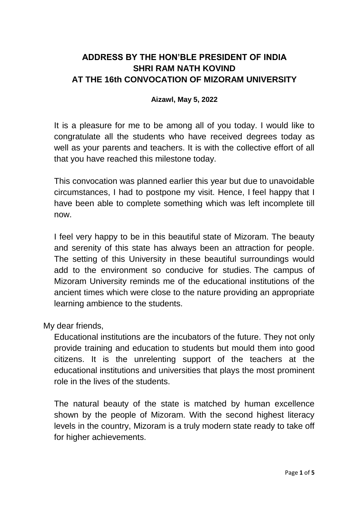## **ADDRESS BY THE HON'BLE PRESIDENT OF INDIA SHRI RAM NATH KOVIND AT THE 16th CONVOCATION OF MIZORAM UNIVERSITY**

## **Aizawl, May 5, 2022**

It is a pleasure for me to be among all of you today. I would like to congratulate all the students who have received degrees today as well as your parents and teachers. It is with the collective effort of all that you have reached this milestone today.

This convocation was planned earlier this year but due to unavoidable circumstances, I had to postpone my visit. Hence, I feel happy that I have been able to complete something which was left incomplete till now.

I feel very happy to be in this beautiful state of Mizoram. The beauty and serenity of this state has always been an attraction for people. The setting of this University in these beautiful surroundings would add to the environment so conducive for studies. The campus of Mizoram University reminds me of the educational institutions of the ancient times which were close to the nature providing an appropriate learning ambience to the students.

My dear friends,

Educational institutions are the incubators of the future. They not only provide training and education to students but mould them into good citizens. It is the unrelenting support of the teachers at the educational institutions and universities that plays the most prominent role in the lives of the students.

The natural beauty of the state is matched by human excellence shown by the people of Mizoram. With the second highest literacy levels in the country, Mizoram is a truly modern state ready to take off for higher achievements.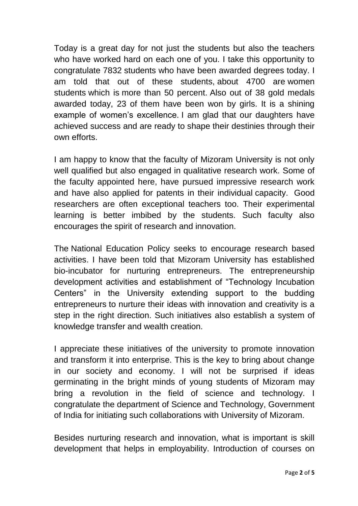Today is a great day for not just the students but also the teachers who have worked hard on each one of you. I take this opportunity to congratulate 7832 students who have been awarded degrees today. I am told that out of these students, about 4700 are women students which is more than 50 percent. Also out of 38 gold medals awarded today, 23 of them have been won by girls. It is a shining example of women's excellence. I am glad that our daughters have achieved success and are ready to shape their destinies through their own efforts.

I am happy to know that the faculty of Mizoram University is not only well qualified but also engaged in qualitative research work. Some of the faculty appointed here, have pursued impressive research work and have also applied for patents in their individual capacity. Good researchers are often exceptional teachers too. Their experimental learning is better imbibed by the students. Such faculty also encourages the spirit of research and innovation.

The National Education Policy seeks to encourage research based activities. I have been told that Mizoram University has established bio-incubator for nurturing entrepreneurs. The entrepreneurship development activities and establishment of "Technology Incubation Centers" in the University extending support to the budding entrepreneurs to nurture their ideas with innovation and creativity is a step in the right direction. Such initiatives also establish a system of knowledge transfer and wealth creation.

I appreciate these initiatives of the university to promote innovation and transform it into enterprise. This is the key to bring about change in our society and economy. I will not be surprised if ideas germinating in the bright minds of young students of Mizoram may bring a revolution in the field of science and technology. I congratulate the department of Science and Technology, Government of India for initiating such collaborations with University of Mizoram.

Besides nurturing research and innovation, what is important is skill development that helps in employability. Introduction of courses on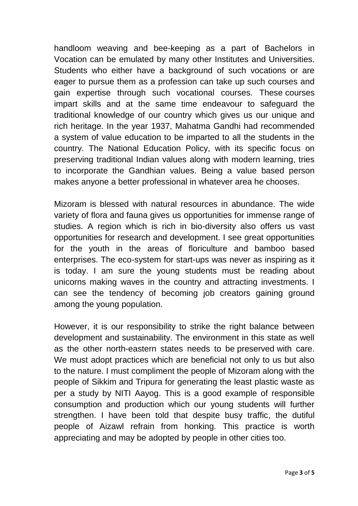handloom weaving and bee-keeping as a part of Bachelors in Vocation can be emulated by many other Institutes and Universities. Students who either have a background of such vocations or are eager to pursue them as a profession can take up such courses and gain expertise through such vocational courses. These courses impart skills and at the same time endeavour to safeguard the traditional knowledge of our country which gives us our unique and rich heritage. In the year 1937, Mahatma Gandhi had recommended a system of value education to be imparted to all the students in the country. The National Education Policy, with its specific focus on preserving traditional Indian values along with modern learning, tries to incorporate the Gandhian values. Being a value based person makes anyone a better professional in whatever area he chooses.

Mizoram is blessed with natural resources in abundance. The wide variety of flora and fauna gives us opportunities for immense range of studies. A region which is rich in bio-diversity also offers us vast opportunities for research and development. I see great opportunities for the youth in the areas of floriculture and bamboo based enterprises. The eco-system for start-ups was never as inspiring as it is today. I am sure the young students must be reading about unicorns making waves in the country and attracting investments. I can see the tendency of becoming job creators gaining ground among the young population.

However, it is our responsibility to strike the right balance between development and sustainability. The environment in this state as well as the other north-eastern states needs to be preserved with care. We must adopt practices which are beneficial not only to us but also to the nature. I must compliment the people of Mizoram along with the people of Sikkim and Tripura for generating the least plastic waste as per a study by NITI Aayog. This is a good example of responsible consumption and production which our young students will further strengthen. I have been told that despite busy traffic, the dutiful people of Aizawl refrain from honking. This practice is worth appreciating and may be adopted by people in other cities too.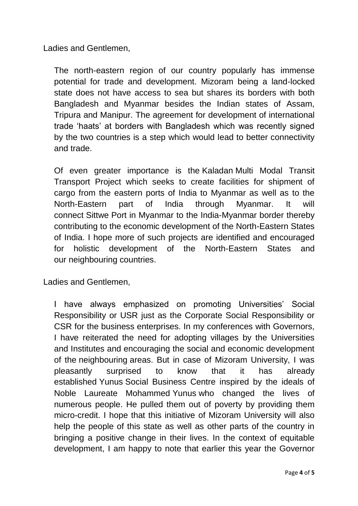Ladies and Gentlemen,

The north-eastern region of our country popularly has immense potential for trade and development. Mizoram being a land-locked state does not have access to sea but shares its borders with both Bangladesh and Myanmar besides the Indian states of Assam, Tripura and Manipur. The agreement for development of international trade 'haats' at borders with Bangladesh which was recently signed by the two countries is a step which would lead to better connectivity and trade.

Of even greater importance is the Kaladan Multi Modal Transit Transport Project which seeks to create facilities for shipment of cargo from the eastern ports of India to Myanmar as well as to the North-Eastern part of India through Myanmar. It will connect Sittwe Port in Myanmar to the India-Myanmar border thereby contributing to the economic development of the North-Eastern States of India. I hope more of such projects are identified and encouraged for holistic development of the North-Eastern States and our neighbouring countries.

Ladies and Gentlemen,

I have always emphasized on promoting Universities' Social Responsibility or USR just as the Corporate Social Responsibility or CSR for the business enterprises. In my conferences with Governors, I have reiterated the need for adopting villages by the Universities and Institutes and encouraging the social and economic development of the neighbouring areas. But in case of Mizoram University, I was pleasantly surprised to know that it has already established Yunus Social Business Centre inspired by the ideals of Noble Laureate Mohammed Yunus who changed the lives of numerous people. He pulled them out of poverty by providing them micro-credit. I hope that this initiative of Mizoram University will also help the people of this state as well as other parts of the country in bringing a positive change in their lives. In the context of equitable development, I am happy to note that earlier this year the Governor